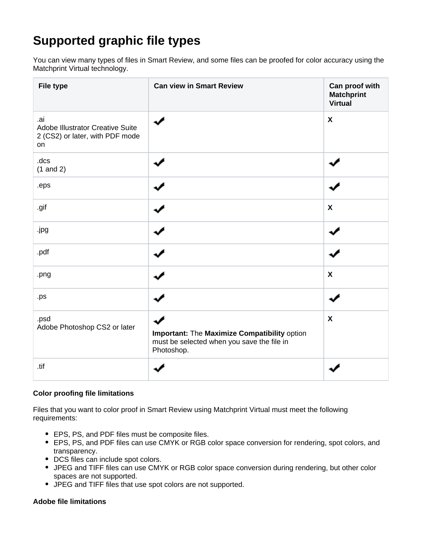## **Supported graphic file types**

You can view many types of files in Smart Review, and some files can be proofed for color accuracy using the Matchprint Virtual technology.

| <b>File type</b>                                                                        | <b>Can view in Smart Review</b>                                                                          | Can proof with<br><b>Matchprint</b><br><b>Virtual</b> |
|-----------------------------------------------------------------------------------------|----------------------------------------------------------------------------------------------------------|-------------------------------------------------------|
| .ai<br><b>Adobe Illustrator Creative Suite</b><br>2 (CS2) or later, with PDF mode<br>on |                                                                                                          | $\boldsymbol{\mathsf{X}}$                             |
| .dcs<br>$(1$ and 2)                                                                     |                                                                                                          |                                                       |
| .eps                                                                                    |                                                                                                          |                                                       |
| .gif                                                                                    |                                                                                                          | $\boldsymbol{\mathsf{X}}$                             |
| .jpg                                                                                    |                                                                                                          |                                                       |
| .pdf                                                                                    |                                                                                                          |                                                       |
| .png                                                                                    |                                                                                                          | $\boldsymbol{\mathsf{X}}$                             |
| .ps                                                                                     |                                                                                                          |                                                       |
| .psd<br>Adobe Photoshop CS2 or later                                                    | Important: The Maximize Compatibility option<br>must be selected when you save the file in<br>Photoshop. | $\boldsymbol{\mathsf{X}}$                             |
| .tif                                                                                    |                                                                                                          |                                                       |

## **Color proofing file limitations**

Files that you want to color proof in Smart Review using Matchprint Virtual must meet the following requirements:

- EPS, PS, and PDF files must be composite files.
- EPS, PS, and PDF files can use CMYK or RGB color space conversion for rendering, spot colors, and transparency.
- DCS files can include spot colors.
- JPEG and TIFF files can use CMYK or RGB color space conversion during rendering, but other color spaces are not supported.
- JPEG and TIFF files that use spot colors are not supported.

## **Adobe file limitations**